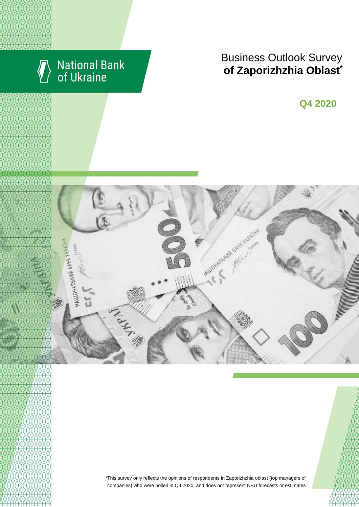

# **Business Outlook Survey**  $\bullet$  **6 Zaporizhzhia Oblast**

**Q2 2018 Q4 2020**



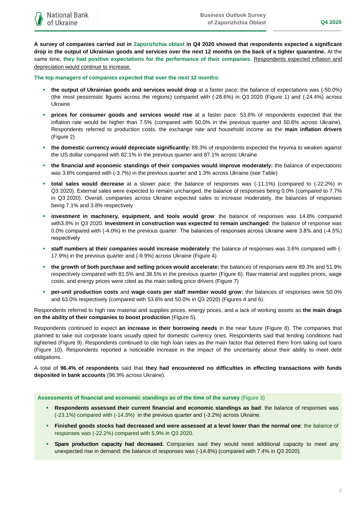**A survey of companies carried out in Zaporizhzhia oblast in Q4 2020 showed that respondents expected a significant drop in the output of Ukrainian goods and services over the next 12 months on the back of a tighter quarantine.** At the same time, **they had positive expectations for the performance of their companies.** Respondents expected inflation and depreciation would continue to increase.

**The top managers of companies expected that over the next 12 months:**

- **the output of Ukrainian goods and services would drop** at a faster pace: the balance of expectations was (-50.0%) (the most pessimistic figures across the regions) compared with (-28.6%) in Q3 2020 (Figure 1) and (-24.4%) across Ukraine
- **prices for consumer goods and services would rise** at a faster pace: 53.6% of respondents expected that the inflation rate would be higher than 7.5% (compared with 50.0% in the previous quarter and 50.8% across Ukraine). Respondents referred to production costs, the exchange rate and household income as the **main inflation drivers** (Figure 2)
- **the domestic currency would depreciate significantly:** 89.3% of respondents expected the hryvnia to weaken against the US dollar compared with 82.1% in the previous quarter and 87.1% across Ukraine
- **the financial and economic standings of their companies would improve moderately:** the balance of expectations was 3.8% compared with (-3.7%) in the previous quarter and 1.3% across Ukraine (see Table)
- **total sales would decrease** at a slower pace: the balance of responses was (-11.1%) (compared to (-22.2%) in Q3 2020). External sales were expected to remain unchanged, the balance of responses being 0.0% (compared to 7.7% in Q3 2020). Overall, companies across Ukraine expected sales to increase moderately, the balances of responses being 7.1% and 3.8% respectively
- **investment in machinery, equipment, and tools would grow**: the balance of responses was 14.8% compared with3.8% in Q3 2020. **Investment in construction was expected to remain unchanged**: the balance of response was 0.0% compared with (-4.0%) in the previous quarter. The balances of responses across Ukraine were 3.8% and (-4.5%) respectively
- **staff numbers at their companies would increase moderately**: the balance of responses was 3.6% compared with (- 17.9%) in the previous quarter and (-9.9%) across Ukraine (Figure 4)
- **the growth of both purchase and selling prices would accelerate:** the balances of responses were 89.3% and 51.9% respectively compared with 81.5% and 38.5% in the previous quarter (Figure 6). Raw material and supplies prices, wage costs, and energy prices were cited as the main selling price drivers (Figure 7)
- **per-unit production costs** and **wage costs per staff member would grow:** the balances of responses were 50.0% and 63.0% respectively (compared with 53.6% and 50.0% in Q3 2020) (Figures 4 and 6).

Respondents referred to high raw material and supplies prices, energy prices, and a lack of working assets as **the main drags on the ability of their companies to boost production** (Figure 5).

Respondents continued to expect **an increase in their borrowing needs** in the near future (Figure 8). The companies that planned to take out corporate loans usually opted for domestic currency ones. Respondents said that lending conditions had tightened (Figure 9). Respondents continued to cite high loan rates as the main factor that deterred them from taking out loans (Figure 10). Respondents reported a noticeable increase in the impact of the uncertainty about their ability to meet debt obligations.

A total of **96.4% of respondents** said that **they had encountered no difficulties in effecting transactions with funds deposited in bank accounts** (96.9% across Ukraine).

**Assessments of financial and economic standings as of the time of the survey** (Figure 3)

- **Respondents assessed their current financial and economic standings as bad**: the balance of responses was (-23.1%) compared with (-14.3%) in the previous quarter and (-3.2%) across Ukraine.
- **Finished goods stocks had decreased and were assessed at a level lower than the normal one**: the balance of responses was (-22.2%) compared with 5.9% in Q3 2020.
- **Spare production capacity had decreased.** Companies said they would need additional capacity to meet any unexpected rise in demand: the balance of responses was (-14.8%) (compared with 7.4% in Q3 2020).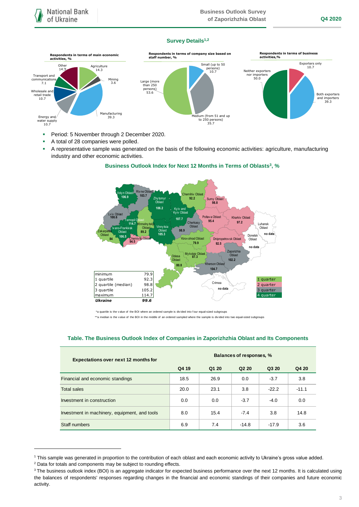### **Survey Details1,2**



- **Period: 5 November through 2 December 2020.**
- A total of 28 companies were polled.
- A representative sample was generated on the basis of the following economic activities: agriculture, manufacturing industry and other economic activities.

### **Business Outlook Index for Next 12 Months in Terms of Oblasts<sup>3</sup>, %**



\*a quartile is the v alue of the BOI where an ordered sample is div ided into f our equal-sized subgroups

\*\*a median is the v alue of the BOI in the middle of an ordered sampled where the sample is divided into two equal-sized subgroups

## **Table. The Business Outlook Index of Companies in Zaporizhzhia Oblast and Its Components**

| <b>Expectations over next 12 months for</b>   | Balances of responses, % |       |                               |         |         |
|-----------------------------------------------|--------------------------|-------|-------------------------------|---------|---------|
|                                               | Q4 19                    | Q1 20 | Q <sub>2</sub> 2 <sub>0</sub> | Q3 20   | Q4 20   |
| Financial and economic standings              | 18.5                     | 26.9  | 0.0                           | $-3.7$  | 3.8     |
| <b>Total sales</b>                            | 20.0                     | 23.1  | 3.8                           | $-22.2$ | $-11.1$ |
| Investment in construction                    | 0.0                      | 0.0   | $-3.7$                        | $-4.0$  | 0.0     |
| Investment in machinery, equipment, and tools | 8.0                      | 15.4  | $-7.4$                        | 3.8     | 14.8    |
| Staff numbers                                 | 6.9                      | 7.4   | $-14.8$                       | $-17.9$ | 3.6     |

1

<sup>1</sup> This sample was generated in proportion to the contribution of each oblast and each economic activity to Ukraine's gross value added.

<sup>2</sup> Data for totals and components may be subject to rounding effects.

<sup>&</sup>lt;sup>3</sup> The business outlook index (BOI) is an aggregate indicator for expected business performance over the next 12 months. It is calculated using the balances of respondents' responses regarding changes in the financial and economic standings of their companies and future economic activity.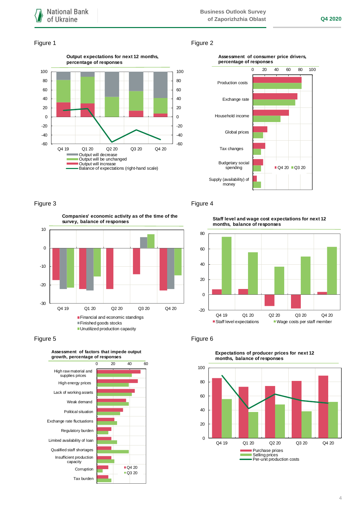### Figure 1 Figure 2







-30 -20 -10 0 10 Q4 19 Q1 20 Q2 20 Q3 20 Q4 20 **Companies' economic activity as of the time of the survey, balance of responses** Financial and economic standings Finished goods stocks **Unutilized production capacity** 





Figure 3 Figure 4

**Staff level and wage cost expectations for next 12 months, balance of responses**





**Expectations of producer prices for next 12 months, balance of responses**